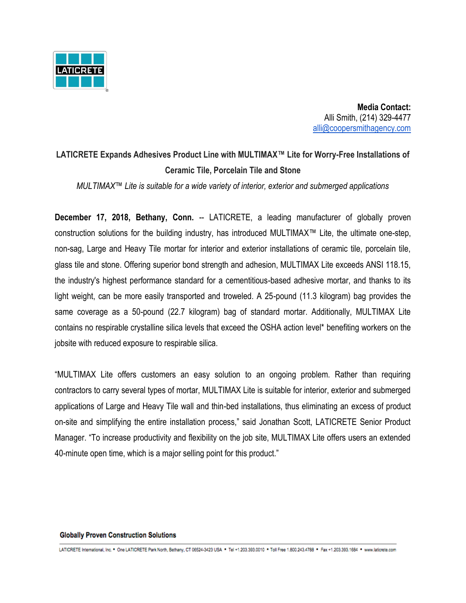

 **Media Contact:** Alli Smith, (214) 329-4477 [alli@coopersmithagency.com](mailto:alli@coopersmithagency.com)

## **LATICRETE Expands Adhesives Product Line with MULTIMAX™ Lite for Worry-Free Installations of Ceramic Tile, Porcelain Tile and Stone**

*MULTIMAX™ Lite is suitable for a wide variety of interior, exterior and submerged applications* 

**December 17, 2018, Bethany, Conn.** -- LATICRETE, a leading manufacturer of globally proven construction solutions for the building industry, has introduced MULTIMAX™ Lite, the ultimate one-step, non-sag, Large and Heavy Tile mortar for interior and exterior installations of ceramic tile, porcelain tile, glass tile and stone. Offering superior bond strength and adhesion, MULTIMAX Lite exceeds ANSI 118.15, the industry's highest performance standard for a cementitious-based adhesive mortar, and thanks to its light weight, can be more easily transported and troweled. A 25-pound (11.3 kilogram) bag provides the same coverage as a 50-pound (22.7 kilogram) bag of standard mortar. Additionally, MULTIMAX Lite contains no respirable crystalline silica levels that exceed the OSHA action level\* benefiting workers on the jobsite with reduced exposure to respirable silica.

"MULTIMAX Lite offers customers an easy solution to an ongoing problem. Rather than requiring contractors to carry several types of mortar, MULTIMAX Lite is suitable for interior, exterior and submerged applications of Large and Heavy Tile wall and thin-bed installations, thus eliminating an excess of product on-site and simplifying the entire installation process," said Jonathan Scott, LATICRETE Senior Product Manager. "To increase productivity and flexibility on the job site, MULTIMAX Lite offers users an extended 40-minute open time, which is a major selling point for this product."

## **Globally Proven Construction Solutions**

LATICRETE International, Inc. \* One LATICRETE Park North, Bethany, CT 06524-3423 USA \* Tel +1.203.393.0010 \* Toll Free 1.800.243.4788 \* Fax +1.203.393.1684 \* www.laticrete.com